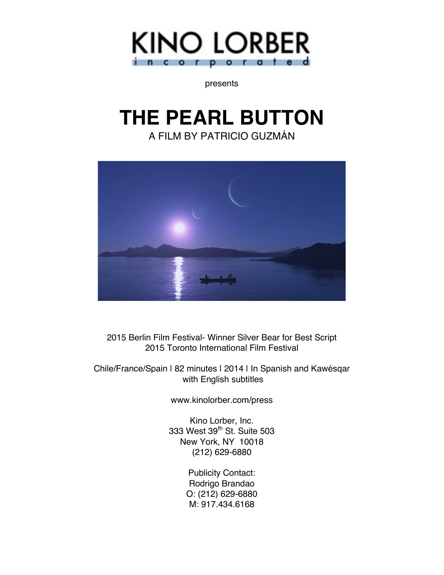

presents

# **THE PEARL BUTTON**

A FILM BY PATRICIO GUZMÁN



2015 Berlin Film Festival- Winner Silver Bear for Best Script 2015 Toronto International Film Festival

Chile/France/Spain | 82 minutes | 2014 | In Spanish and Kawésqar with English subtitles

www.kinolorber.com/press

Kino Lorber, Inc. 333 West 39<sup>th</sup> St. Suite 503 New York, NY 10018 (212) 629-6880

> Publicity Contact: Rodrigo Brandao O: (212) 629-6880 M: 917.434.6168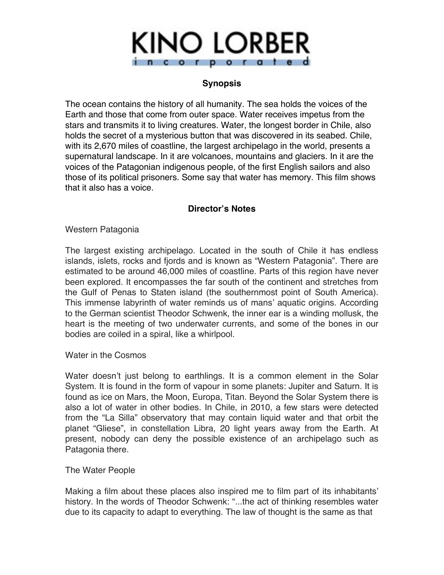

## **Synopsis**

The ocean contains the history of all humanity. The sea holds the voices of the Earth and those that come from outer space. Water receives impetus from the stars and transmits it to living creatures. Water, the longest border in Chile, also holds the secret of a mysterious button that was discovered in its seabed. Chile, with its 2,670 miles of coastline, the largest archipelago in the world, presents a supernatural landscape. In it are volcanoes, mountains and glaciers. In it are the voices of the Patagonian indigenous people, of the first English sailors and also those of its political prisoners. Some say that water has memory. This film shows that it also has a voice.

## **Director's Notes**

Western Patagonia

The largest existing archipelago. Located in the south of Chile it has endless islands, islets, rocks and fjords and is known as "Western Patagonia". There are estimated to be around 46,000 miles of coastline. Parts of this region have never been explored. It encompasses the far south of the continent and stretches from the Gulf of Penas to Staten island (the southernmost point of South America). This immense labyrinth of water reminds us of mans' aquatic origins. According to the German scientist Theodor Schwenk, the inner ear is a winding mollusk, the heart is the meeting of two underwater currents, and some of the bones in our bodies are coiled in a spiral, like a whirlpool.

Water in the Cosmos

Water doesn't just belong to earthlings. It is a common element in the Solar System. It is found in the form of vapour in some planets: Jupiter and Saturn. It is found as ice on Mars, the Moon, Europa, Titan. Beyond the Solar System there is also a lot of water in other bodies. In Chile, in 2010, a few stars were detected from the "La Silla" observatory that may contain liquid water and that orbit the planet "Gliese", in constellation Libra, 20 light years away from the Earth. At present, nobody can deny the possible existence of an archipelago such as Patagonia there.

The Water People

Making a film about these places also inspired me to film part of its inhabitants' history. In the words of Theodor Schwenk: "...the act of thinking resembles water due to its capacity to adapt to everything. The law of thought is the same as that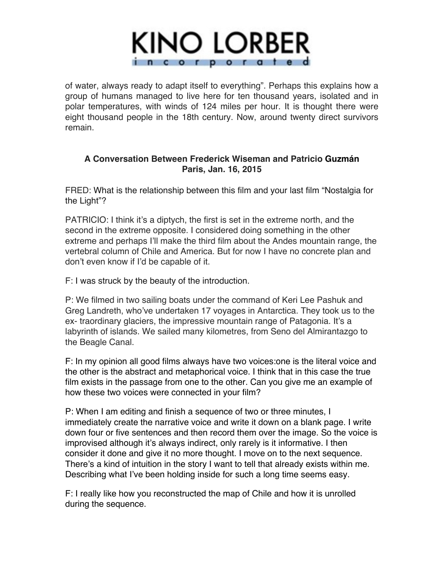

of water, always ready to adapt itself to everything". Perhaps this explains how a group of humans managed to live here for ten thousand years, isolated and in polar temperatures, with winds of 124 miles per hour. It is thought there were eight thousand people in the 18th century. Now, around twenty direct survivors remain.

## **A Conversation Between Frederick Wiseman and Patricio Guzmán Paris, Jan. 16, 2015**

FRED: What is the relationship between this film and your last film "Nostalgia for the Light"?

PATRICIO: I think it's a diptych, the first is set in the extreme north, and the second in the extreme opposite. I considered doing something in the other extreme and perhaps I'll make the third film about the Andes mountain range, the vertebral column of Chile and America. But for now I have no concrete plan and don't even know if I'd be capable of it.

F: I was struck by the beauty of the introduction.

P: We filmed in two sailing boats under the command of Keri Lee Pashuk and Greg Landreth, who've undertaken 17 voyages in Antarctica. They took us to the ex- traordinary glaciers, the impressive mountain range of Patagonia. It's a labyrinth of islands. We sailed many kilometres, from Seno del Almirantazgo to the Beagle Canal.

F: In my opinion all good films always have two voices:one is the literal voice and the other is the abstract and metaphorical voice. I think that in this case the true film exists in the passage from one to the other. Can you give me an example of how these two voices were connected in your film?

P: When I am editing and finish a sequence of two or three minutes, I immediately create the narrative voice and write it down on a blank page. I write down four or five sentences and then record them over the image. So the voice is improvised although it's always indirect, only rarely is it informative. I then consider it done and give it no more thought. I move on to the next sequence. There's a kind of intuition in the story I want to tell that already exists within me. Describing what I've been holding inside for such a long time seems easy.

F: I really like how you reconstructed the map of Chile and how it is unrolled during the sequence.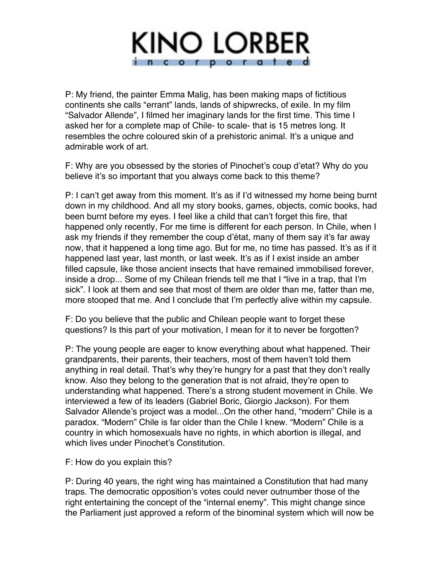

P: My friend, the painter Emma Malig, has been making maps of fictitious continents she calls "errant" lands, lands of shipwrecks, of exile. In my film "Salvador Allende", I filmed her imaginary lands for the first time. This time I asked her for a complete map of Chile- to scale- that is 15 metres long. It resembles the ochre coloured skin of a prehistoric animal. It's a unique and admirable work of art.

F: Why are you obsessed by the stories of Pinochet's coup d'etat? Why do you believe it's so important that you always come back to this theme?

P: I can't get away from this moment. It's as if I'd witnessed my home being burnt down in my childhood. And all my story books, games, objects, comic books, had been burnt before my eyes. I feel like a child that can't forget this fire, that happened only recently, For me time is different for each person. In Chile, when I ask my friends if they remember the coup d'état, many of them say it's far away now, that it happened a long time ago. But for me, no time has passed. It's as if it happened last year, last month, or last week. It's as if I exist inside an amber filled capsule, like those ancient insects that have remained immobilised forever, inside a drop... Some of my Chilean friends tell me that I "live in a trap, that I'm sick". I look at them and see that most of them are older than me, fatter than me, more stooped that me. And I conclude that I'm perfectly alive within my capsule.

F: Do you believe that the public and Chilean people want to forget these questions? Is this part of your motivation, I mean for it to never be forgotten?

P: The young people are eager to know everything about what happened. Their grandparents, their parents, their teachers, most of them haven't told them anything in real detail. That's why they're hungry for a past that they don't really know. Also they belong to the generation that is not afraid, they're open to understanding what happened. There's a strong student movement in Chile. We interviewed a few of its leaders (Gabriel Boric, Giorgio Jackson). For them Salvador Allende's project was a model...On the other hand, "modern" Chile is a paradox. "Modern" Chile is far older than the Chile I knew. "Modern" Chile is a country in which homosexuals have no rights, in which abortion is illegal, and which lives under Pinochet's Constitution.

## F: How do you explain this?

P: During 40 years, the right wing has maintained a Constitution that had many traps. The democratic opposition's votes could never outnumber those of the right entertaining the concept of the "internal enemy". This might change since the Parliament just approved a reform of the binominal system which will now be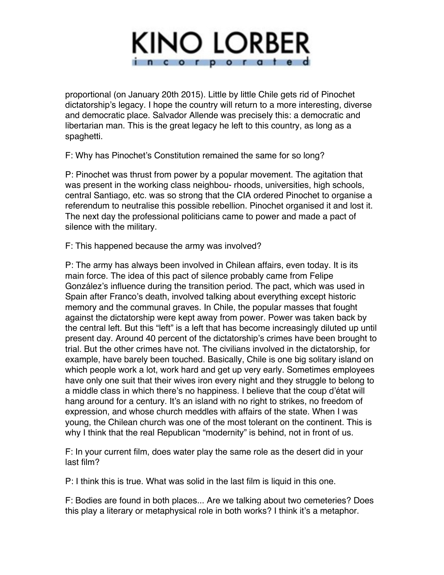

proportional (on January 20th 2015). Little by little Chile gets rid of Pinochet dictatorship's legacy. I hope the country will return to a more interesting, diverse and democratic place. Salvador Allende was precisely this: a democratic and libertarian man. This is the great legacy he left to this country, as long as a spaghetti.

F: Why has Pinochet's Constitution remained the same for so long?

P: Pinochet was thrust from power by a popular movement. The agitation that was present in the working class neighbou- rhoods, universities, high schools, central Santiago, etc. was so strong that the CIA ordered Pinochet to organise a referendum to neutralise this possible rebellion. Pinochet organised it and lost it. The next day the professional politicians came to power and made a pact of silence with the military.

F: This happened because the army was involved?

P: The army has always been involved in Chilean affairs, even today. It is its main force. The idea of this pact of silence probably came from Felipe González's influence during the transition period. The pact, which was used in Spain after Franco's death, involved talking about everything except historic memory and the communal graves. In Chile, the popular masses that fought against the dictatorship were kept away from power. Power was taken back by the central left. But this "left" is a left that has become increasingly diluted up until present day. Around 40 percent of the dictatorship's crimes have been brought to trial. But the other crimes have not. The civilians involved in the dictatorship, for example, have barely been touched. Basically, Chile is one big solitary island on which people work a lot, work hard and get up very early. Sometimes employees have only one suit that their wives iron every night and they struggle to belong to a middle class in which there's no happiness. I believe that the coup d'état will hang around for a century. It's an island with no right to strikes, no freedom of expression, and whose church meddles with affairs of the state. When I was young, the Chilean church was one of the most tolerant on the continent. This is why I think that the real Republican "modernity" is behind, not in front of us.

F: In your current film, does water play the same role as the desert did in your last film?

P: I think this is true. What was solid in the last film is liquid in this one.

F: Bodies are found in both places... Are we talking about two cemeteries? Does this play a literary or metaphysical role in both works? I think it's a metaphor.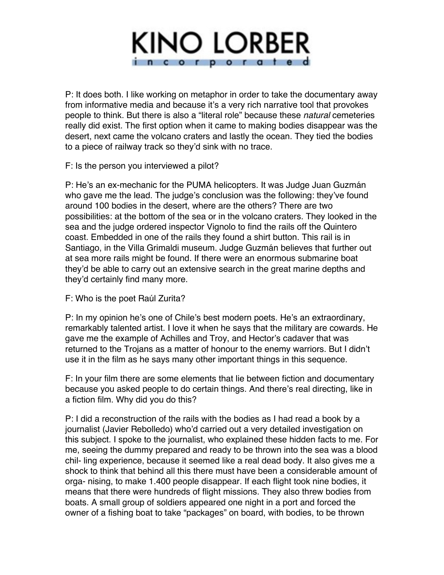

P: It does both. I like working on metaphor in order to take the documentary away from informative media and because it's a very rich narrative tool that provokes people to think. But there is also a "literal role" because these *natural* cemeteries really did exist. The first option when it came to making bodies disappear was the desert, next came the volcano craters and lastly the ocean. They tied the bodies to a piece of railway track so they'd sink with no trace.

F: Is the person you interviewed a pilot?

P: He's an ex-mechanic for the PUMA helicopters. It was Judge Juan Guzmán who gave me the lead. The judge's conclusion was the following: they've found around 100 bodies in the desert, where are the others? There are two possibilities: at the bottom of the sea or in the volcano craters. They looked in the sea and the judge ordered inspector Vignolo to find the rails off the Quintero coast. Embedded in one of the rails they found a shirt button. This rail is in Santiago, in the Villa Grimaldi museum. Judge Guzmán believes that further out at sea more rails might be found. If there were an enormous submarine boat they'd be able to carry out an extensive search in the great marine depths and they'd certainly find many more.

F: Who is the poet Raúl Zurita?

P: In my opinion he's one of Chile's best modern poets. He's an extraordinary, remarkably talented artist. I love it when he says that the military are cowards. He gave me the example of Achilles and Troy, and Hector's cadaver that was returned to the Trojans as a matter of honour to the enemy warriors. But I didn't use it in the film as he says many other important things in this sequence.

F: In your film there are some elements that lie between fiction and documentary because you asked people to do certain things. And there's real directing, like in a fiction film. Why did you do this?

P: I did a reconstruction of the rails with the bodies as I had read a book by a journalist (Javier Rebolledo) who'd carried out a very detailed investigation on this subject. I spoke to the journalist, who explained these hidden facts to me. For me, seeing the dummy prepared and ready to be thrown into the sea was a blood chil- ling experience, because it seemed like a real dead body. It also gives me a shock to think that behind all this there must have been a considerable amount of orga- nising, to make 1.400 people disappear. If each flight took nine bodies, it means that there were hundreds of flight missions. They also threw bodies from boats. A small group of soldiers appeared one night in a port and forced the owner of a fishing boat to take "packages" on board, with bodies, to be thrown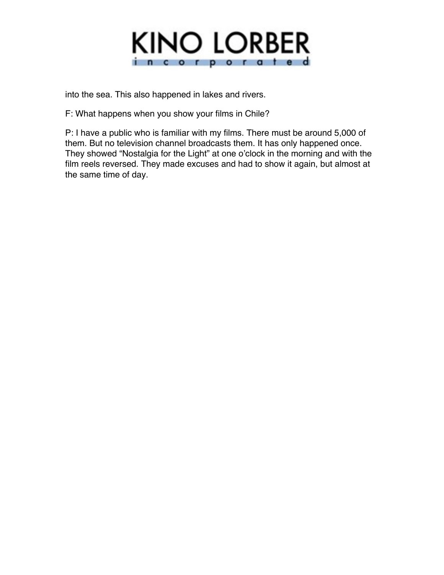

into the sea. This also happened in lakes and rivers.

F: What happens when you show your films in Chile?

P: I have a public who is familiar with my films. There must be around 5,000 of them. But no television channel broadcasts them. It has only happened once. They showed "Nostalgia for the Light" at one o'clock in the morning and with the film reels reversed. They made excuses and had to show it again, but almost at the same time of day.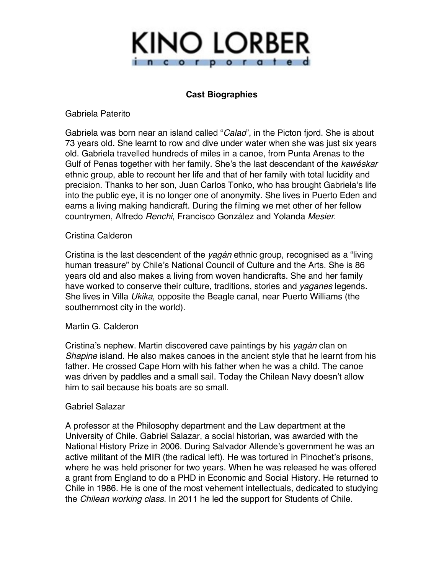

## **Cast Biographies**

Gabriela Paterito

Gabriela was born near an island called "*Calao*", in the Picton fjord. She is about 73 years old. She learnt to row and dive under water when she was just six years old. Gabriela travelled hundreds of miles in a canoe, from Punta Arenas to the Gulf of Penas together with her family. She's the last descendant of the *kawéskar*  ethnic group, able to recount her life and that of her family with total lucidity and precision. Thanks to her son, Juan Carlos Tonko, who has brought Gabriela's life into the public eye, it is no longer one of anonymity. She lives in Puerto Eden and earns a living making handicraft. During the filming we met other of her fellow countrymen, Alfredo *Renchi*, Francisco González and Yolanda *Mesier*.

## Cristina Calderon

Cristina is the last descendent of the *yagán* ethnic group, recognised as a "living human treasure" by Chile's National Council of Culture and the Arts. She is 86 years old and also makes a living from woven handicrafts. She and her family have worked to conserve their culture, traditions, stories and *yaganes* legends. She lives in Villa *Ukika*, opposite the Beagle canal, near Puerto Williams (the southernmost city in the world).

#### Martin G. Calderon

Cristina's nephew. Martin discovered cave paintings by his *yagán* clan on *Shapine* island. He also makes canoes in the ancient style that he learnt from his father. He crossed Cape Horn with his father when he was a child. The canoe was driven by paddles and a small sail. Today the Chilean Navy doesn't allow him to sail because his boats are so small.

## Gabriel Salazar

A professor at the Philosophy department and the Law department at the University of Chile. Gabriel Salazar, a social historian, was awarded with the National History Prize in 2006. During Salvador Allende's government he was an active militant of the MIR (the radical left). He was tortured in Pinochet's prisons, where he was held prisoner for two years. When he was released he was offered a grant from England to do a PHD in Economic and Social History. He returned to Chile in 1986. He is one of the most vehement intellectuals, dedicated to studying the *Chilean working class*. In 2011 he led the support for Students of Chile.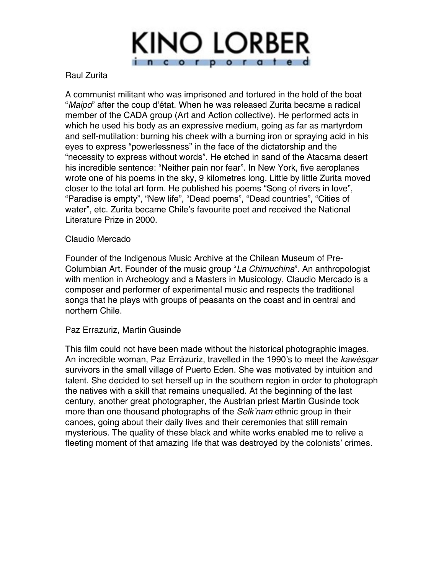

## Raul Zurita

A communist militant who was imprisoned and tortured in the hold of the boat "*Maipo*" after the coup d'état. When he was released Zurita became a radical member of the CADA group (Art and Action collective). He performed acts in which he used his body as an expressive medium, going as far as martyrdom and self-mutilation: burning his cheek with a burning iron or spraying acid in his eyes to express "powerlessness" in the face of the dictatorship and the "necessity to express without words". He etched in sand of the Atacama desert his incredible sentence: "Neither pain nor fear". In New York, five aeroplanes wrote one of his poems in the sky, 9 kilometres long. Little by little Zurita moved closer to the total art form. He published his poems "Song of rivers in love", "Paradise is empty", "New life", "Dead poems", "Dead countries", "Cities of water", etc. Zurita became Chile's favourite poet and received the National Literature Prize in 2000.

## Claudio Mercado

Founder of the Indigenous Music Archive at the Chilean Museum of Pre-Columbian Art. Founder of the music group "*La Chimuchina*". An anthropologist with mention in Archeology and a Masters in Musicology, Claudio Mercado is a composer and performer of experimental music and respects the traditional songs that he plays with groups of peasants on the coast and in central and northern Chile.

## Paz Errazuriz, Martin Gusinde

This film could not have been made without the historical photographic images. An incredible woman, Paz Errázuriz, travelled in the 1990's to meet the *kawésqar*  survivors in the small village of Puerto Eden. She was motivated by intuition and talent. She decided to set herself up in the southern region in order to photograph the natives with a skill that remains unequalled. At the beginning of the last century, another great photographer, the Austrian priest Martin Gusinde took more than one thousand photographs of the *Selk'nam* ethnic group in their canoes, going about their daily lives and their ceremonies that still remain mysterious. The quality of these black and white works enabled me to relive a fleeting moment of that amazing life that was destroyed by the colonists' crimes.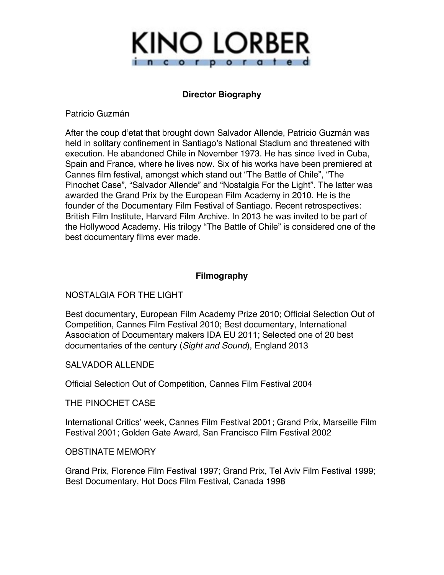

## **Director Biography**

Patricio Guzmán

After the coup d'etat that brought down Salvador Allende, Patricio Guzmán was held in solitary confinement in Santiago's National Stadium and threatened with execution. He abandoned Chile in November 1973. He has since lived in Cuba, Spain and France, where he lives now. Six of his works have been premiered at Cannes film festival, amongst which stand out "The Battle of Chile", "The Pinochet Case", "Salvador Allende" and "Nostalgia For the Light". The latter was awarded the Grand Prix by the European Film Academy in 2010. He is the founder of the Documentary Film Festival of Santiago. Recent retrospectives: British Film Institute, Harvard Film Archive. In 2013 he was invited to be part of the Hollywood Academy. His trilogy "The Battle of Chile" is considered one of the best documentary films ever made.

## **Filmography**

## NOSTALGIA FOR THE LIGHT

Best documentary, European Film Academy Prize 2010; Official Selection Out of Competition, Cannes Film Festival 2010; Best documentary, International Association of Documentary makers IDA EU 2011; Selected one of 20 best documentaries of the century (*Sight and Sound*), England 2013

## SALVADOR ALLENDE

Official Selection Out of Competition, Cannes Film Festival 2004

THE PINOCHET CASE

International Critics' week, Cannes Film Festival 2001; Grand Prix, Marseille Film Festival 2001; Golden Gate Award, San Francisco Film Festival 2002

## OBSTINATE MEMORY

Grand Prix, Florence Film Festival 1997; Grand Prix, Tel Aviv Film Festival 1999; Best Documentary, Hot Docs Film Festival, Canada 1998